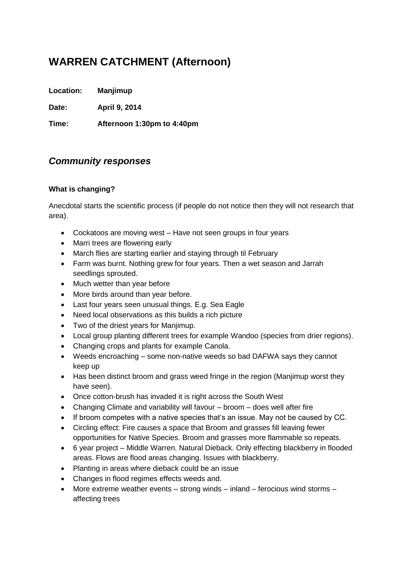# **WARREN CATCHMENT (Afternoon)**

**Location: Manjimup**

**Date: April 9, 2014**

**Time: Afternoon 1:30pm to 4:40pm**

# *Community responses*

### **What is changing?**

Anecdotal starts the scientific process (if people do not notice then they will not research that area).

- Cockatoos are moving west Have not seen groups in four years
- Marri trees are flowering early
- March flies are starting earlier and staying through til February
- Farm was burnt. Nothing grew for four years. Then a wet season and Jarrah seedlings sprouted.
- Much wetter than year before
- More birds around than year before.
- Last four years seen unusual things. E.g. Sea Eagle
- Need local observations as this builds a rich picture
- Two of the driest years for Manjimup.
- Local group planting different trees for example Wandoo (species from drier regions).
- Changing crops and plants for example Canola.
- Weeds encroaching some non-native weeds so bad DAFWA says they cannot keep up
- Has been distinct broom and grass weed fringe in the region (Manjimup worst they have seen).
- Once cotton-brush has invaded it is right across the South West
- Changing Climate and variability will favour broom does well after fire
- If broom competes with a native species that's an issue. May not be caused by CC.
- Circling effect: Fire causes a space that Broom and grasses fill leaving fewer opportunities for Native Species. Broom and grasses more flammable so repeats.
- 6 year project Middle Warren. Natural Dieback. Only effecting blackberry in flooded areas. Flows are flood areas changing. Issues with blackberry.
- Planting in areas where dieback could be an issue
- Changes in flood regimes effects weeds and.
- More extreme weather events strong winds inland ferocious wind storms affecting trees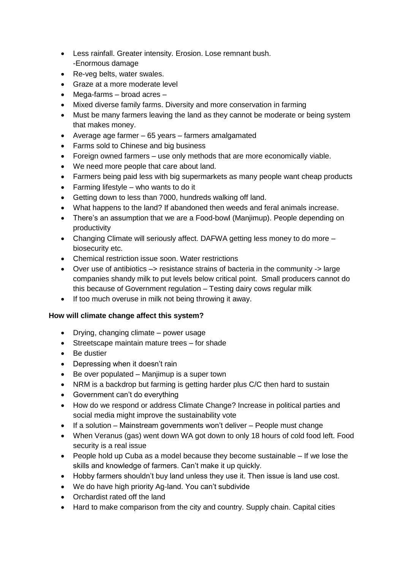- Less rainfall. Greater intensity. Erosion. Lose remnant bush. -Enormous damage
- Re-veg belts, water swales.
- Graze at a more moderate level
- Mega-farms broad acres –
- Mixed diverse family farms. Diversity and more conservation in farming
- Must be many farmers leaving the land as they cannot be moderate or being system that makes money.
- Average age farmer 65 years farmers amalgamated
- Farms sold to Chinese and big business
- Foreign owned farmers use only methods that are more economically viable.
- We need more people that care about land.
- Farmers being paid less with big supermarkets as many people want cheap products
- Farming lifestyle who wants to do it
- Getting down to less than 7000, hundreds walking off land.
- What happens to the land? If abandoned then weeds and feral animals increase.
- There's an assumption that we are a Food-bowl (Manjimup). People depending on productivity
- Changing Climate will seriously affect. DAFWA getting less money to do more biosecurity etc.
- Chemical restriction issue soon. Water restrictions
- Over use of antibiotics –> resistance strains of bacteria in the community -> large companies shandy milk to put levels below critical point. Small producers cannot do this because of Government regulation – Testing dairy cows regular milk
- If too much overuse in milk not being throwing it away.

## **How will climate change affect this system?**

- Drying, changing climate power usage
- Streetscape maintain mature trees for shade
- Be dustier
- Depressing when it doesn't rain
- Be over populated Manjimup is a super town
- NRM is a backdrop but farming is getting harder plus C/C then hard to sustain
- Government can't do everything
- How do we respond or address Climate Change? Increase in political parties and social media might improve the sustainability vote
- If a solution Mainstream governments won't deliver People must change
- When Veranus (gas) went down WA got down to only 18 hours of cold food left. Food security is a real issue
- People hold up Cuba as a model because they become sustainable If we lose the skills and knowledge of farmers. Can't make it up quickly.
- Hobby farmers shouldn't buy land unless they use it. Then issue is land use cost.
- We do have high priority Ag-land. You can't subdivide
- Orchardist rated off the land
- Hard to make comparison from the city and country. Supply chain. Capital cities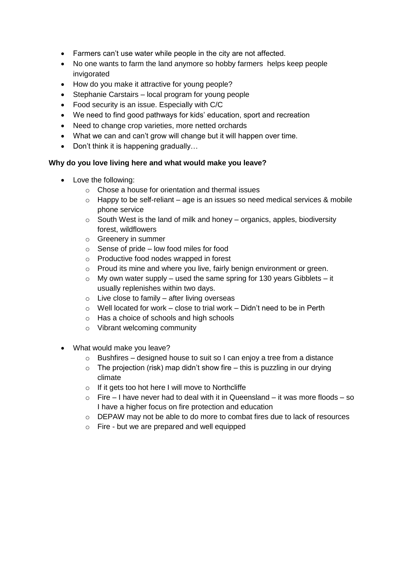- Farmers can't use water while people in the city are not affected.
- No one wants to farm the land anymore so hobby farmers helps keep people invigorated
- How do you make it attractive for young people?
- Stephanie Carstairs local program for young people
- Food security is an issue. Especially with C/C
- We need to find good pathways for kids' education, sport and recreation
- Need to change crop varieties, more netted orchards
- What we can and can't grow will change but it will happen over time.
- Don't think it is happening gradually...

#### **Why do you love living here and what would make you leave?**

- Love the following:
	- o Chose a house for orientation and thermal issues
	- $\circ$  Happy to be self-reliant age is an issues so need medical services & mobile phone service
	- $\circ$  South West is the land of milk and honey organics, apples, biodiversity forest, wildflowers
	- o Greenery in summer
	- $\circ$  Sense of pride low food miles for food
	- o Productive food nodes wrapped in forest
	- o Proud its mine and where you live, fairly benign environment or green.
	- $\circ$  My own water supply used the same spring for 130 years Gibblets it usually replenishes within two days.
	- $\circ$  Live close to family after living overseas
	- $\circ$  Well located for work close to trial work Didn't need to be in Perth
	- o Has a choice of schools and high schools
	- o Vibrant welcoming community
- What would make you leave?
	- $\circ$  Bushfires designed house to suit so I can enjoy a tree from a distance
	- $\circ$  The projection (risk) map didn't show fire this is puzzling in our drying climate
	- $\circ$  If it gets too hot here I will move to Northcliffe
	- $\circ$  Fire I have never had to deal with it in Queensland it was more floods so I have a higher focus on fire protection and education
	- o DEPAW may not be able to do more to combat fires due to lack of resources
	- o Fire but we are prepared and well equipped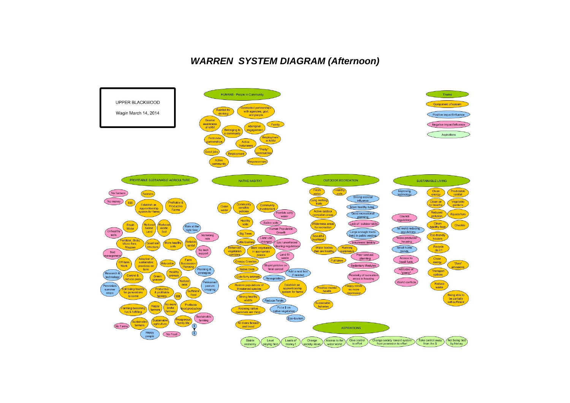## *WARREN SYSTEM DIAGRAM (Afternoon)*